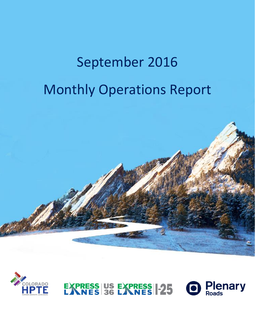# September 2016 Monthly Operations Report





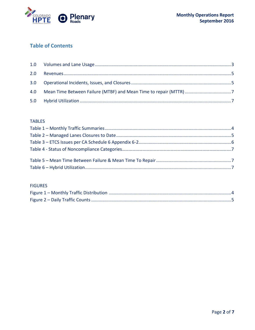

### **Table of Contents**

#### **TABLES**

#### **FIGURES**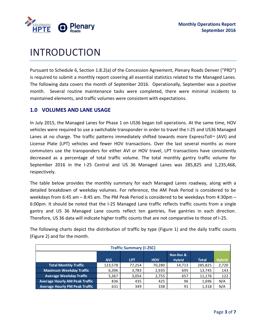

## INTRODUCTION

Pursuant to Schedule 6, Section 1.8.2(a) of the Concession Agreement, Plenary Roads Denver ("PRD") is required to submit a monthly report covering all essential statistics related to the Managed Lanes. The following data covers the month of September 2016. Operationally, September was a positive month. Several routine maintenance tasks were completed, there were minimal incidents to maintained elements, and traffic volumes were consistent with expectations.

#### <span id="page-2-0"></span>**1.0 VOLUMES AND LANE USAGE**

In July 2015, the Managed Lanes for Phase 1 on US36 began toll operations. At the same time, HOV vehicles were required to use a switchable transponder in order to travel the I-25 and US36 Managed Lanes at no charge. The traffic patterns immediately shifted towards more ExpressToll<sup>M</sup> (AVI) and License Plate (LPT) vehicles and fewer HOV transactions. Over the last several months as more commuters use the transponders for either AVI or HOV travel, LPT transactions have consistently decreased as a percentage of total traffic volume. The total monthly gantry traffic volume for September 2016 in the I-25 Central and US 36 Managed Lanes was 285,825 and 1,235,468, respectively.

The table below provides the monthly summary for each Managed Lanes roadway, along with a detailed breakdown of weekday volumes. For reference, the AM Peak Period is considered to be weekdays from 6:45 am – 8:45 am. The PM Peak Period is considered to be weekdays from 4:30pm – 6:00pm. It should be noted that the I-25 Managed Lane traffic reflects traffic counts from a single gantry and US 36 Managed Lane counts reflect ten gantries, five gantries in each direction. Therefore, US 36 data will indicate higher traffic counts that are not comparative to those of I-25.

The following charts depict the distribution of traffic by type (Figure 1) and the daily traffic counts (Figure 2) and for the month.

| <b>Traffic Summary (I-25C)</b>        |            |            |            |               |              |               |
|---------------------------------------|------------|------------|------------|---------------|--------------|---------------|
|                                       |            |            |            | Non-Rev &     |              |               |
|                                       | <b>AVI</b> | <b>LPT</b> | <b>HOV</b> | <b>Hybrid</b> | <b>Total</b> | <b>Hybrid</b> |
| <b>Total Monthly Traffic</b>          | 123,578    | 77.254     | 70,280     | 14,713        | 285,825      | 2,720         |
| <b>Maximum Weekday Traffic</b>        | 6,396      | 3,783      | 2,935      | 695           | 13,745       | 143           |
| <b>Average Weekday Traffic</b>        | 5,367      | 3,054      | 2,755      | 657           | 11,176       | 122           |
| <b>Average Hourly AM Peak Traffic</b> | 836        | 435        | 425        | 96            | 1,696        | N/A           |
| <b>Average Hourly PM Peak Traffic</b> | 631        | 349        | 338        | 91            | 1,318        | N/A           |
|                                       |            |            |            |               |              |               |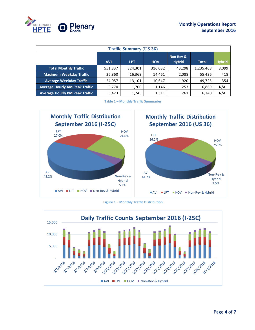

| <b>Traffic Summary (US 36)</b>        |            |            |            |                            |              |               |
|---------------------------------------|------------|------------|------------|----------------------------|--------------|---------------|
|                                       | <b>AVI</b> | <b>LPT</b> | <b>HOV</b> | Non-Rev &<br><b>Hybrid</b> | <b>Total</b> | <b>Hybrid</b> |
| <b>Total Monthly Traffic</b>          | 551,837    | 324,301    | 316,032    | 43,298                     | 1,235,468    | 8,099         |
| <b>Maximum Weekday Traffic</b>        | 26,860     | 16,369     | 14,461     | 2,088                      | 55,436       | 418           |
| <b>Average Weekday Traffic</b>        | 24,057     | 13,101     | 10,647     | 1,920                      | 49,725       | 354           |
| <b>Average Hourly AM Peak Traffic</b> | 3,770      | 1,700      | 1,146      | 253                        | 6,869        | N/A           |
| <b>Average Hourly PM Peak Traffic</b> | 3,423      | 1,745      | 1,311      | 261                        | 6,740        | N/A           |

**Table 1 – Monthly Traffic Summaries**

<span id="page-3-0"></span>

**Figure 1 – Monthly Traffic Distribution**

<span id="page-3-1"></span>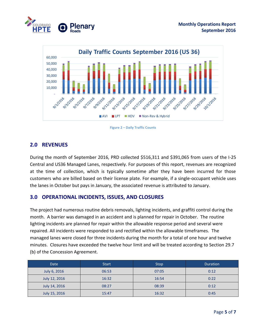



**Figure 2 – Daily Traffic Counts**

#### <span id="page-4-3"></span><span id="page-4-0"></span>**2.0 REVENUES**

<span id="page-4-1"></span>During the month of September 2016, PRD collected \$516,311 and \$391,065 from users of the I-25 Central and US36 Managed Lanes, respectively. For purposes of this report, revenues are recognized at the time of collection, which is typically sometime after they have been incurred for those customers who are billed based on their license plate. For example, if a single-occupant vehicle uses the lanes in October but pays in January, the associated revenue is attributed to January.

#### **3.0 OPERATIONAL INCIDENTS, ISSUES, AND CLOSURES**

The project had numerous routine debris removals, lighting incidents, and graffiti control during the month. A barrier was damaged in an accident and is planned for repair in October. The routine lighting incidents are planned for repair within the allowable response period and several were repaired. All incidents were responded to and rectified within the allowable timeframes. The managed lanes were closed for three incidents during the month for a total of one hour and twelve minutes. Closures have exceeded the twelve hour limit and will be treated according to Section 29.7 (b) of the Concession Agreement.

<span id="page-4-2"></span>

| Date          | <b>Start</b> | <b>Stop</b> | <b>Duration</b> |
|---------------|--------------|-------------|-----------------|
| July 6, 2016  | 06:53        | 07:05       |                 |
| July 12, 2016 | 16:32        | 16:54       | 0:22            |
| July 14, 2016 | 08:27        | 08:39       | 0:12            |
| July 15, 2016 | 15:47        | 16:32       | 0:45            |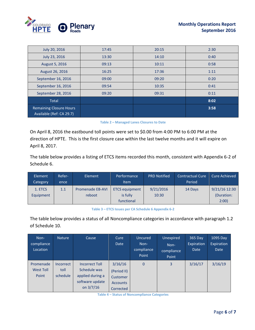

| July 20, 2016                  | 17:45 | 20:15 | 2:30 |
|--------------------------------|-------|-------|------|
| July 23, 2016                  | 13:30 | 14:10 | 0:40 |
| August 5, 2016                 | 09:13 | 10:11 | 0:58 |
| August 26, 2016                | 16:25 | 17:36 | 1:11 |
| September 16, 2016             | 09:00 | 09:20 | 0:20 |
| September 16, 2016             | 09:54 | 10:35 | 0:41 |
| September 28, 2016             | 09:20 | 09:31 | 0:11 |
| <b>Total</b>                   |       |       | 8:02 |
| <b>Remaining Closure Hours</b> |       |       | 3:58 |
| Available (Ref: CA 29.7)       |       |       |      |

|  | Table 2 - Managed Lanes Closures to Date |  |  |
|--|------------------------------------------|--|--|
|  |                                          |  |  |

On April 8, 2016 the eastbound toll points were set to \$0.00 from 4:00 PM to 6:00 PM at the direction of HPTE. This is the first closure case within the last twelve months and it will expire on April 8, 2017.

The table below provides a listing of ETCS items recorded this month, consistent with Appendix 6-2 of Schedule 6.

| Element<br>Category | Refer-<br>ence | Element                 | Performance<br><b>Item</b> | <b>PRD Notified</b> | <b>Contractual Cure</b><br>Period | <b>Cure Achieved</b> |
|---------------------|----------------|-------------------------|----------------------------|---------------------|-----------------------------------|----------------------|
| 1. ETCS             | 1.1            | <b>Promenade EB-AVI</b> | <b>ETCS equipment</b>      | 9/21/2016           | 14 Days                           | 9/21/16 12:30        |
| Equipment           |                | reboot                  | is fully                   | 10:30               |                                   | (Duration:           |
|                     |                |                         | functional                 |                     |                                   | 2:00                 |

**Table 3 – ETCS Issues per CA Schedule 6 Appendix 6-2**

<span id="page-5-0"></span>The table below provides a status of all Noncompliance categories in accordance with paragraph 1.2 of Schedule 10.

| Non-<br>compliance<br>Location         | <b>Nature</b>                        | Cause                                                                                       | Cure<br>Date                                                       | Uncured<br>Non-<br>compliance<br>Point | Unexpired<br>Non-<br>compliance<br>Point | 365 Day<br>Expiration<br>Date | 1095 Day<br>Expiration<br><b>Date</b> |
|----------------------------------------|--------------------------------------|---------------------------------------------------------------------------------------------|--------------------------------------------------------------------|----------------------------------------|------------------------------------------|-------------------------------|---------------------------------------|
| Promenade<br><b>West Toll</b><br>Point | <b>Incorrect</b><br>toll<br>schedule | <b>Incorrect Toll</b><br>Schedule was<br>applied during a<br>software update<br>on $3/7/16$ | 3/16/16<br>(Period II)<br>Customer<br><b>Accounts</b><br>Corrected | $\mathbf{0}$                           | 3                                        | 3/16/17                       | 3/16/19                               |

**Table 4 – Status of Noncompliance Categories**